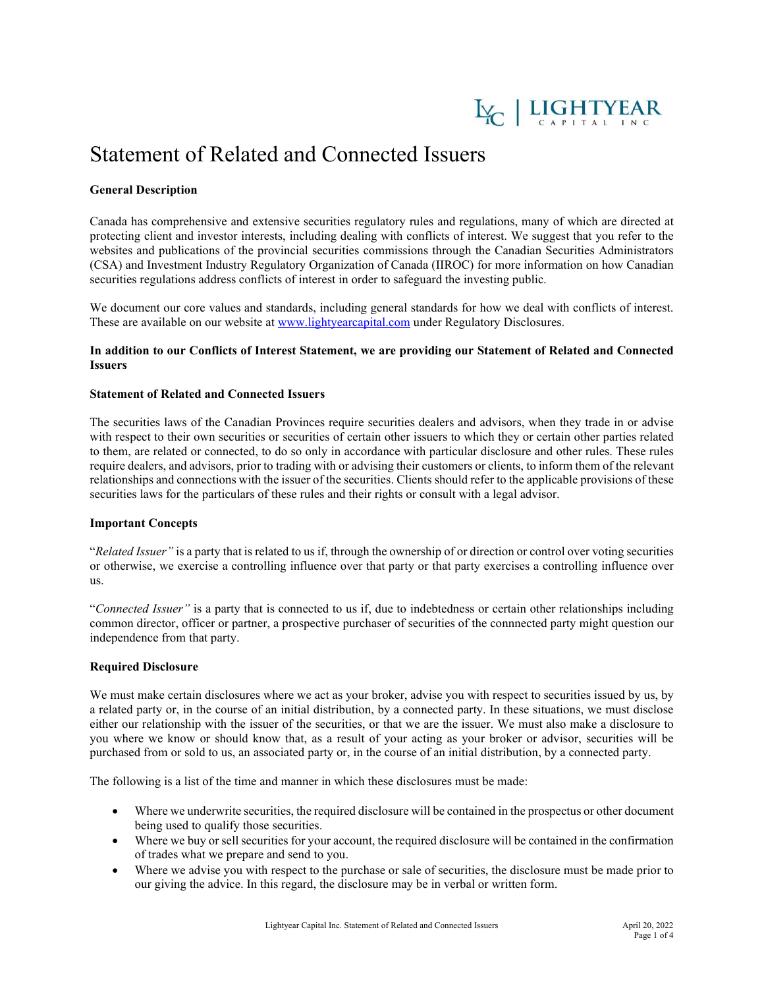

# Statement of Related and Connected Issuers

## **General Description**

Canada has comprehensive and extensive securities regulatory rules and regulations, many of which are directed at protecting client and investor interests, including dealing with conflicts of interest. We suggest that you refer to the websites and publications of the provincial securities commissions through the Canadian Securities Administrators (CSA) and Investment Industry Regulatory Organization of Canada (IIROC) for more information on how Canadian securities regulations address conflicts of interest in order to safeguard the investing public.

We document our core values and standards, including general standards for how we deal with conflicts of interest. These are available on our website at [www.lightyearcapital.com](http://www.lightyearcapital.com/) under Regulatory Disclosures.

## **In addition to our Conflicts of Interest Statement, we are providing our Statement of Related and Connected Issuers**

## **Statement of Related and Connected Issuers**

The securities laws of the Canadian Provinces require securities dealers and advisors, when they trade in or advise with respect to their own securities or securities of certain other issuers to which they or certain other parties related to them, are related or connected, to do so only in accordance with particular disclosure and other rules. These rules require dealers, and advisors, prior to trading with or advising their customers or clients, to inform them of the relevant relationships and connections with the issuer of the securities. Clients should refer to the applicable provisions of these securities laws for the particulars of these rules and their rights or consult with a legal advisor.

#### **Important Concepts**

"*Related Issuer"* is a party that is related to us if, through the ownership of or direction or control over voting securities or otherwise, we exercise a controlling influence over that party or that party exercises a controlling influence over us.

"*Connected Issuer"* is a party that is connected to us if, due to indebtedness or certain other relationships including common director, officer or partner, a prospective purchaser of securities of the connnected party might question our independence from that party.

#### **Required Disclosure**

We must make certain disclosures where we act as your broker, advise you with respect to securities issued by us, by a related party or, in the course of an initial distribution, by a connected party. In these situations, we must disclose either our relationship with the issuer of the securities, or that we are the issuer. We must also make a disclosure to you where we know or should know that, as a result of your acting as your broker or advisor, securities will be purchased from or sold to us, an associated party or, in the course of an initial distribution, by a connected party.

The following is a list of the time and manner in which these disclosures must be made:

- Where we underwrite securities, the required disclosure will be contained in the prospectus or other document being used to qualify those securities.
- Where we buy or sell securities for your account, the required disclosure will be contained in the confirmation of trades what we prepare and send to you.
- Where we advise you with respect to the purchase or sale of securities, the disclosure must be made prior to our giving the advice. In this regard, the disclosure may be in verbal or written form.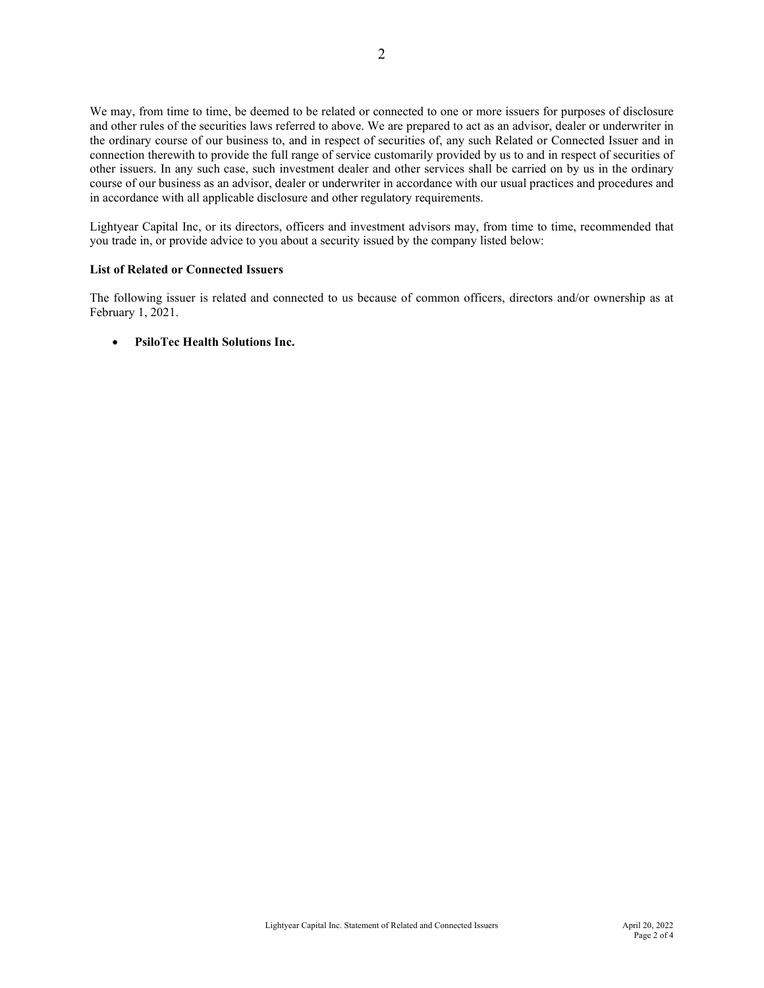We may, from time to time, be deemed to be related or connected to one or more issuers for purposes of disclosure and other rules of the securities laws referred to above. We are prepared to act as an advisor, dealer or underwriter in the ordinary course of our business to, and in respect of securities of, any such Related or Connected Issuer and in connection therewith to provide the full range of service customarily provided by us to and in respect of securities of other issuers. In any such case, such investment dealer and other services shall be carried on by us in the ordinary course of our business as an advisor, dealer or underwriter in accordance with our usual practices and procedures and in accordance with all applicable disclosure and other regulatory requirements.

Lightyear Capital Inc, or its directors, officers and investment advisors may, from time to time, recommended that you trade in, or provide advice to you about a security issued by the company listed below:

## **List of Related or Connected Issuers**

The following issuer is related and connected to us because of common officers, directors and/or ownership as at February 1, 2021.

## • **PsiloTec Health Solutions Inc.**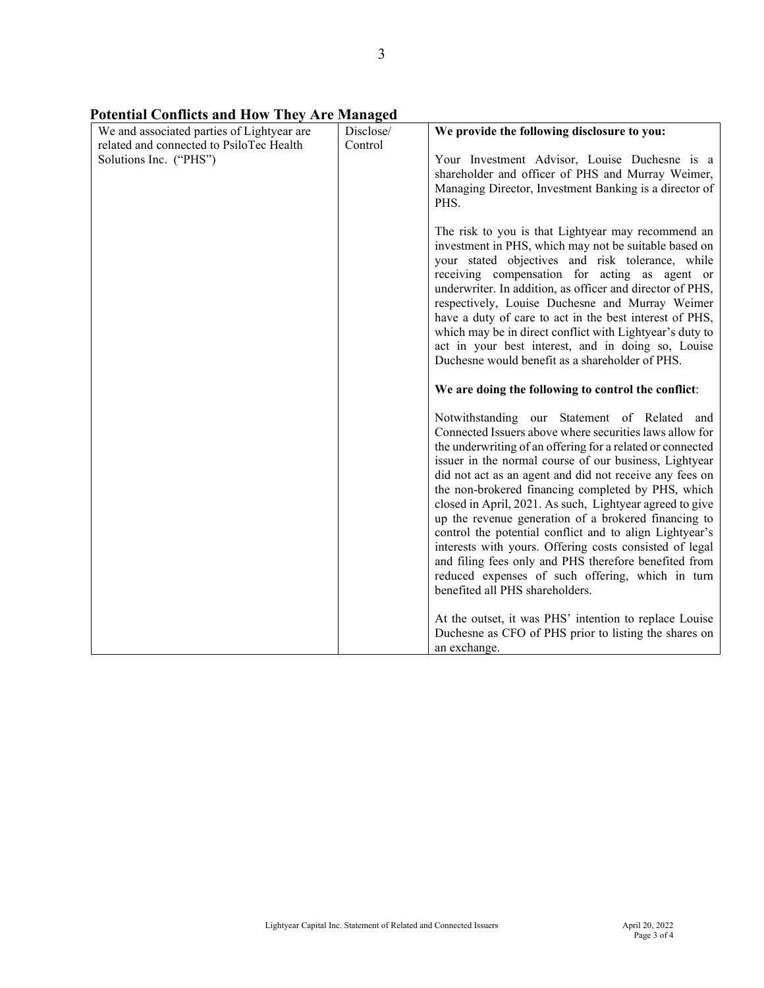| We and associated parties of Lightyear are<br>related and connected to PsiloTec Health<br>Solutions Inc. ("PHS") | Disclose/<br>Control | We provide the following disclosure to you:<br>Your Investment Advisor, Louise Duchesne is a<br>shareholder and officer of PHS and Murray Weimer,<br>Managing Director, Investment Banking is a director of<br>PHS.<br>The risk to you is that Lightyear may recommend an<br>investment in PHS, which may not be suitable based on<br>your stated objectives and risk tolerance, while<br>receiving compensation for acting as agent or<br>underwriter. In addition, as officer and director of PHS,<br>respectively, Louise Duchesne and Murray Weimer<br>have a duty of care to act in the best interest of PHS,<br>which may be in direct conflict with Lightyear's duty to                                                             |
|------------------------------------------------------------------------------------------------------------------|----------------------|--------------------------------------------------------------------------------------------------------------------------------------------------------------------------------------------------------------------------------------------------------------------------------------------------------------------------------------------------------------------------------------------------------------------------------------------------------------------------------------------------------------------------------------------------------------------------------------------------------------------------------------------------------------------------------------------------------------------------------------------|
|                                                                                                                  |                      | act in your best interest, and in doing so, Louise<br>Duchesne would benefit as a shareholder of PHS.                                                                                                                                                                                                                                                                                                                                                                                                                                                                                                                                                                                                                                      |
|                                                                                                                  |                      | We are doing the following to control the conflict:                                                                                                                                                                                                                                                                                                                                                                                                                                                                                                                                                                                                                                                                                        |
|                                                                                                                  |                      | Notwithstanding our Statement of Related and<br>Connected Issuers above where securities laws allow for<br>the underwriting of an offering for a related or connected<br>issuer in the normal course of our business, Lightyear<br>did not act as an agent and did not receive any fees on<br>the non-brokered financing completed by PHS, which<br>closed in April, 2021. As such, Lightyear agreed to give<br>up the revenue generation of a brokered financing to<br>control the potential conflict and to align Lightyear's<br>interests with yours. Offering costs consisted of legal<br>and filing fees only and PHS therefore benefited from<br>reduced expenses of such offering, which in turn<br>benefited all PHS shareholders. |
|                                                                                                                  |                      | At the outset, it was PHS' intention to replace Louise<br>Duchesne as CFO of PHS prior to listing the shares on<br>an exchange.                                                                                                                                                                                                                                                                                                                                                                                                                                                                                                                                                                                                            |

**Potential Conflicts and How They Are Managed**